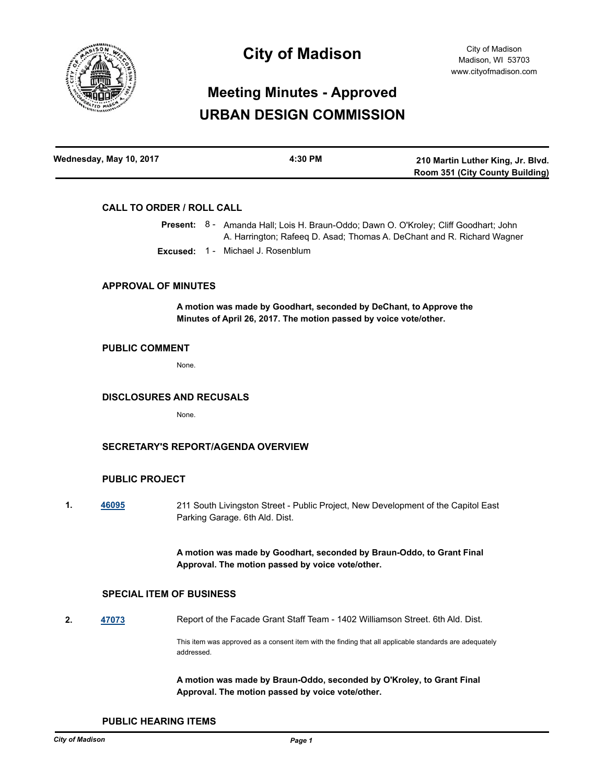

## **City of Madison**

# **Meeting Minutes - Approved URBAN DESIGN COMMISSION**

| Wednesday, May 10, 2017 | 4:30 PM | 210 Martin Luther King, Jr. Blvd.      |  |
|-------------------------|---------|----------------------------------------|--|
|                         |         | <b>Room 351 (City County Building)</b> |  |

#### **CALL TO ORDER / ROLL CALL**

Present: 8 - Amanda Hall; Lois H. Braun-Oddo; Dawn O. O'Kroley; Cliff Goodhart; John A. Harrington; Rafeeq D. Asad; Thomas A. DeChant and R. Richard Wagner **Excused:** 1 - Michael J. Rosenblum

#### **APPROVAL OF MINUTES**

**A motion was made by Goodhart, seconded by DeChant, to Approve the Minutes of April 26, 2017. The motion passed by voice vote/other.**

### **PUBLIC COMMENT**

None.

### **DISCLOSURES AND RECUSALS**

None.

### **SECRETARY'S REPORT/AGENDA OVERVIEW**

#### **PUBLIC PROJECT**

**1. [46095](http://madison.legistar.com/gateway.aspx?m=l&id=/matter.aspx?key=50148)** 211 South Livingston Street - Public Project, New Development of the Capitol East Parking Garage. 6th Ald. Dist.

> **A motion was made by Goodhart, seconded by Braun-Oddo, to Grant Final Approval. The motion passed by voice vote/other.**

#### **SPECIAL ITEM OF BUSINESS**

**2. [47073](http://madison.legistar.com/gateway.aspx?m=l&id=/matter.aspx?key=51064)** Report of the Facade Grant Staff Team - 1402 Williamson Street. 6th Ald. Dist.

This item was approved as a consent item with the finding that all applicable standards are adequately addressed.

**A motion was made by Braun-Oddo, seconded by O'Kroley, to Grant Final Approval. The motion passed by voice vote/other.**

**PUBLIC HEARING ITEMS**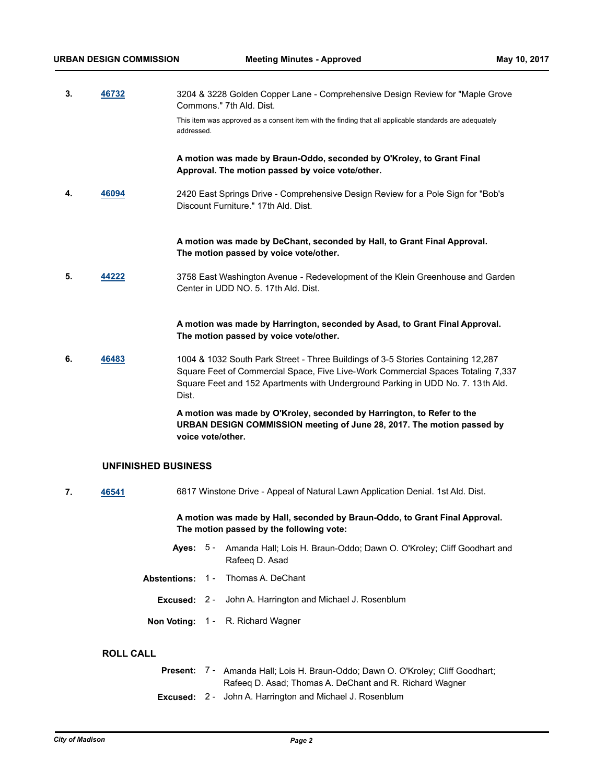addressed.

**3. [46732](http://madison.legistar.com/gateway.aspx?m=l&id=/matter.aspx?key=50735)** 3204 & 3228 Golden Copper Lane - Comprehensive Design Review for "Maple Grove Commons." 7th Ald. Dist. This item was approved as a consent item with the finding that all applicable standards are adequately

> **A motion was made by Braun-Oddo, seconded by O'Kroley, to Grant Final Approval. The motion passed by voice vote/other.**

**4. [46094](http://madison.legistar.com/gateway.aspx?m=l&id=/matter.aspx?key=50147)** 2420 East Springs Drive - Comprehensive Design Review for a Pole Sign for "Bob's Discount Furniture." 17th Ald. Dist.

> **A motion was made by DeChant, seconded by Hall, to Grant Final Approval. The motion passed by voice vote/other.**

**5. [44222](http://madison.legistar.com/gateway.aspx?m=l&id=/matter.aspx?key=48414)** 3758 East Washington Avenue - Redevelopment of the Klein Greenhouse and Garden Center in UDD NO. 5. 17th Ald. Dist.

> **A motion was made by Harrington, seconded by Asad, to Grant Final Approval. The motion passed by voice vote/other.**

**6. [46483](http://madison.legistar.com/gateway.aspx?m=l&id=/matter.aspx?key=50498)** 1004 & 1032 South Park Street - Three Buildings of 3-5 Stories Containing 12,287 Square Feet of Commercial Space, Five Live-Work Commercial Spaces Totaling 7,337 Square Feet and 152 Apartments with Underground Parking in UDD No. 7. 13th Ald. Dist.

> **A motion was made by O'Kroley, seconded by Harrington, to Refer to the URBAN DESIGN COMMISSION meeting of June 28, 2017. The motion passed by voice vote/other.**

#### **UNFINISHED BUSINESS**

**7. [46541](http://madison.legistar.com/gateway.aspx?m=l&id=/matter.aspx?key=50548)** 6817 Winstone Drive - Appeal of Natural Lawn Application Denial. 1st Ald. Dist.

**A motion was made by Hall, seconded by Braun-Oddo, to Grant Final Approval. The motion passed by the following vote:**

- Ayes: 5 Amanda Hall; Lois H. Braun-Oddo; Dawn O. O'Kroley; Cliff Goodhart and Rafeeq D. Asad
- **Abstentions:** 1 Thomas A. DeChant
	- **Excused:** 2 John A. Harrington and Michael J. Rosenblum
- **Non Voting:** 1 R. Richard Wagner

## **ROLL CALL**

|  | <b>Present:</b> 7 - Amanda Hall; Lois H. Braun-Oddo; Dawn O. O'Kroley; Cliff Goodhart; |
|--|----------------------------------------------------------------------------------------|
|  | Rafeeg D. Asad: Thomas A. DeChant and R. Richard Wagner                                |
|  | <b>Excused:</b> 2 - John A. Harrington and Michael J. Rosenblum                        |